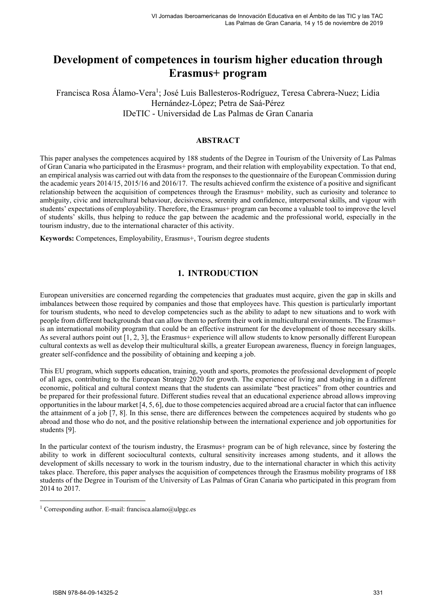# **Development of competences in tourism higher education through Erasmus+ program**

Francisca Rosa Álamo-Vera<sup>1</sup>; José Luis Ballesteros-Rodríguez, Teresa Cabrera-Nuez; Lidia Hernández-López; Petra de Saá-Pérez IDeTIC - Universidad de Las Palmas de Gran Canaria

### **ABSTRACT**

This paper analyses the competences acquired by 188 students of the Degree in Tourism of the University of Las Palmas of Gran Canaria who participated in the Erasmus+ program, and their relation with employability expectation. To that end, an empirical analysis was carried out with data from the responses to the questionnaire of the European Commission during the academic years 2014/15, 2015/16 and 2016/17. The results achieved confirm the existence of a positive and significant relationship between the acquisition of competences through the Erasmus+ mobility, such as curiosity and tolerance to ambiguity, civic and intercultural behaviour, decisiveness, serenity and confidence, interpersonal skills, and vigour with students' expectations of employability. Therefore, the Erasmus+ program can become a valuable tool to improve the level of students' skills, thus helping to reduce the gap between the academic and the professional world, especially in the tourism industry, due to the international character of this activity.

**Keywords:** Competences, Employability, Erasmus+, Tourism degree students

# **1. INTRODUCTION**

European universities are concerned regarding the competencies that graduates must acquire, given the gap in skills and imbalances between those required by companies and those that employees have. This question is particularly important for tourism students, who need to develop competencies such as the ability to adapt to new situations and to work with people from different backgrounds that can allow them to perform their work in multicultural environments. The Erasmus+ is an international mobility program that could be an effective instrument for the development of those necessary skills. As several authors point out [1, 2, 3], the Erasmus+ experience will allow students to know personally different European cultural contexts as well as develop their multicultural skills, a greater European awareness, fluency in foreign languages, greater self-confidence and the possibility of obtaining and keeping a job.

This EU program, which supports education, training, youth and sports, promotes the professional development of people of all ages, contributing to the European Strategy 2020 for growth. The experience of living and studying in a different economic, political and cultural context means that the students can assimilate "best practices" from other countries and be prepared for their professional future. Different studies reveal that an educational experience abroad allows improving opportunities in the labour market [4, 5, 6], due to those competencies acquired abroad are a crucial factor that can influence the attainment of a job [7, 8]. In this sense, there are differences between the competences acquired by students who go abroad and those who do not, and the positive relationship between the international experience and job opportunities for students [9].

In the particular context of the tourism industry, the Erasmus+ program can be of high relevance, since by fostering the ability to work in different sociocultural contexts, cultural sensitivity increases among students, and it allows the development of skills necessary to work in the tourism industry, due to the international character in which this activity takes place. Therefore, this paper analyses the acquisition of competences through the Erasmus mobility programs of 188 students of the Degree in Tourism of the University of Las Palmas of Gran Canaria who participated in this program from 2014 to 2017.

 $\overline{a}$ 

<sup>&</sup>lt;sup>1</sup> Corresponding author. E-mail: francisca.alamo@ulpgc.es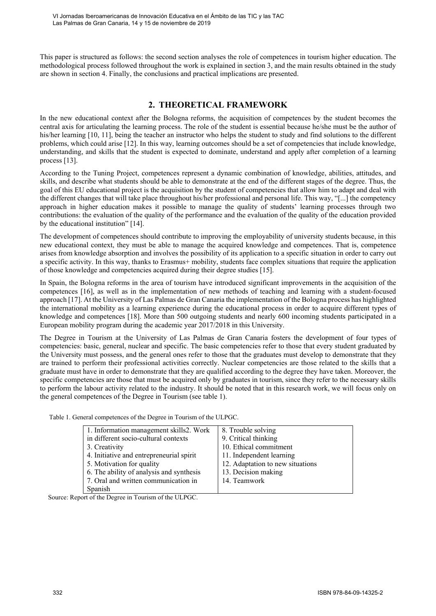This paper is structured as follows: the second section analyses the role of competences in tourism higher education. The methodological process followed throughout the work is explained in section 3, and the main results obtained in the study are shown in section 4. Finally, the conclusions and practical implications are presented.

# **2. THEORETICAL FRAMEWORK**

In the new educational context after the Bologna reforms, the acquisition of competences by the student becomes the central axis for articulating the learning process. The role of the student is essential because he/she must be the author of his/her learning [10, 11], being the teacher an instructor who helps the student to study and find solutions to the different problems, which could arise [12]. In this way, learning outcomes should be a set of competencies that include knowledge, understanding, and skills that the student is expected to dominate, understand and apply after completion of a learning process [13].

According to the Tuning Project, competences represent a dynamic combination of knowledge, abilities, attitudes, and skills, and describe what students should be able to demonstrate at the end of the different stages of the degree. Thus, the goal of this EU educational project is the acquisition by the student of competencies that allow him to adapt and deal with the different changes that will take place throughout his/her professional and personal life. This way, "[...] the competency approach in higher education makes it possible to manage the quality of students' learning processes through two contributions: the evaluation of the quality of the performance and the evaluation of the quality of the education provided by the educational institution" [14].

The development of competences should contribute to improving the employability of university students because, in this new educational context, they must be able to manage the acquired knowledge and competences. That is, competence arises from knowledge absorption and involves the possibility of its application to a specific situation in order to carry out a specific activity. In this way, thanks to Erasmus+ mobility, students face complex situations that require the application of those knowledge and competencies acquired during their degree studies [15].

In Spain, the Bologna reforms in the area of tourism have introduced significant improvements in the acquisition of the competences [16], as well as in the implementation of new methods of teaching and learning with a student-focused approach [17]. At the University of Las Palmas de Gran Canaria the implementation of the Bologna process has highlighted the international mobility as a learning experience during the educational process in order to acquire different types of knowledge and competences [18]. More than 500 outgoing students and nearly 600 incoming students participated in a European mobility program during the academic year 2017/2018 in this University.

The Degree in Tourism at the University of Las Palmas de Gran Canaria fosters the development of four types of competencies: basic, general, nuclear and specific. The basic competencies refer to those that every student graduated by the University must possess, and the general ones refer to those that the graduates must develop to demonstrate that they are trained to perform their professional activities correctly. Nuclear competencies are those related to the skills that a graduate must have in order to demonstrate that they are qualified according to the degree they have taken. Moreover, the specific competencies are those that must be acquired only by graduates in tourism, since they refer to the necessary skills to perform the labour activity related to the industry. It should be noted that in this research work, we will focus only on the general competences of the Degree in Tourism (see table 1).

Table 1. General competences of the Degree in Tourism of the ULPGC.

| 1. Information management skills 2. Work | 8. Trouble solving               |
|------------------------------------------|----------------------------------|
| in different socio-cultural contexts     | 9. Critical thinking             |
| 3. Creativity                            | 10. Ethical commitment           |
| 4. Initiative and entrepreneurial spirit | 11. Independent learning         |
| 5. Motivation for quality                | 12. Adaptation to new situations |
| 6. The ability of analysis and synthesis | 13. Decision making              |
| 7. Oral and written communication in     | 14. Teamwork                     |
| Spanish                                  |                                  |

Source: Report of the Degree in Tourism of the ULPGC.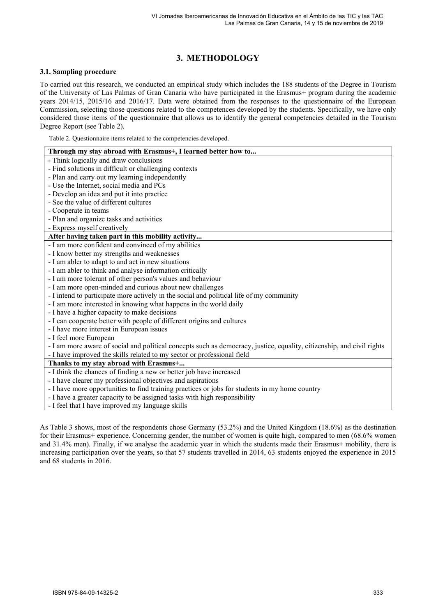# **3. METHODOLOGY**

### **3.1. Sampling procedure**

To carried out this research, we conducted an empirical study which includes the 188 students of the Degree in Tourism of the University of Las Palmas of Gran Canaria who have participated in the Erasmus+ program during the academic years 2014/15, 2015/16 and 2016/17. Data were obtained from the responses to the questionnaire of the European Commission, selecting those questions related to the competences developed by the students. Specifically, we have only considered those items of the questionnaire that allows us to identify the general competencies detailed in the Tourism Degree Report (see Table 2).

Table 2. Questionnaire items related to the competencies developed.

| Through my stay abroad with Erasmus+, I learned better how to                                                          |  |  |
|------------------------------------------------------------------------------------------------------------------------|--|--|
| - Think logically and draw conclusions                                                                                 |  |  |
| - Find solutions in difficult or challenging contexts                                                                  |  |  |
| - Plan and carry out my learning independently                                                                         |  |  |
| - Use the Internet, social media and PCs                                                                               |  |  |
| - Develop an idea and put it into practice                                                                             |  |  |
| - See the value of different cultures                                                                                  |  |  |
| - Cooperate in teams                                                                                                   |  |  |
| - Plan and organize tasks and activities                                                                               |  |  |
| - Express myself creatively                                                                                            |  |  |
| After having taken part in this mobility activity                                                                      |  |  |
| - I am more confident and convinced of my abilities                                                                    |  |  |
| - I know better my strengths and weaknesses                                                                            |  |  |
| - I am abler to adapt to and act in new situations                                                                     |  |  |
| - I am abler to think and analyse information critically                                                               |  |  |
| - I am more tolerant of other person's values and behaviour                                                            |  |  |
| - I am more open-minded and curious about new challenges                                                               |  |  |
| - I intend to participate more actively in the social and political life of my community                               |  |  |
| - I am more interested in knowing what happens in the world daily                                                      |  |  |
| - I have a higher capacity to make decisions                                                                           |  |  |
| - I can cooperate better with people of different origins and cultures                                                 |  |  |
| - I have more interest in European issues                                                                              |  |  |
| - I feel more European                                                                                                 |  |  |
| - I am more aware of social and political concepts such as democracy, justice, equality, citizenship, and civil rights |  |  |
| - I have improved the skills related to my sector or professional field                                                |  |  |
| Thanks to my stay abroad with Erasmus+                                                                                 |  |  |
| - I think the chances of finding a new or better job have increased                                                    |  |  |
| - I have clearer my professional objectives and aspirations                                                            |  |  |
| - I have more opportunities to find training practices or jobs for students in my home country                         |  |  |
| - I have a greater capacity to be assigned tasks with high responsibility                                              |  |  |
| - I feel that I have improved my language skills                                                                       |  |  |
|                                                                                                                        |  |  |

As Table 3 shows, most of the respondents chose Germany (53.2%) and the United Kingdom (18.6%) as the destination for their Erasmus+ experience. Concerning gender, the number of women is quite high, compared to men (68.6% women and 31.4% men). Finally, if we analyse the academic year in which the students made their Erasmus+ mobility, there is increasing participation over the years, so that 57 students travelled in 2014, 63 students enjoyed the experience in 2015 and 68 students in 2016.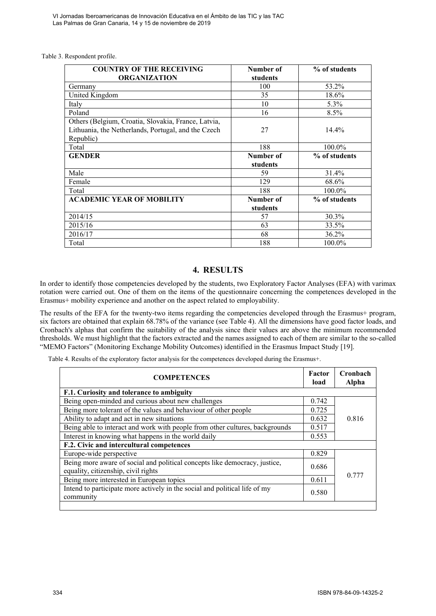#### Table 3. Respondent profile.

| <b>COUNTRY OF THE RECEIVING</b><br><b>ORGANIZATION</b>                                                                  | Number of<br>students | % of students |
|-------------------------------------------------------------------------------------------------------------------------|-----------------------|---------------|
| Germany                                                                                                                 | 100                   | 53.2%         |
| United Kingdom                                                                                                          | 35                    | 18.6%         |
| Italy                                                                                                                   | 10                    | $5.3\%$       |
| Poland                                                                                                                  | 16                    | 8.5%          |
| Others (Belgium, Croatia, Slovakia, France, Latvia,<br>Lithuania, the Netherlands, Portugal, and the Czech<br>Republic) | 27                    | 14.4%         |
| Total                                                                                                                   | 188                   | 100.0%        |
| <b>GENDER</b>                                                                                                           | Number of             | % of students |
|                                                                                                                         | students              |               |
| Male                                                                                                                    | 59                    | 31.4%         |
| Female                                                                                                                  | 129                   | 68.6%         |
| Total                                                                                                                   | 188                   | 100.0%        |
| <b>ACADEMIC YEAR OF MOBILITY</b>                                                                                        | Number of<br>students | % of students |
| 2014/15                                                                                                                 | 57                    | $30.3\%$      |
| 2015/16                                                                                                                 | 63                    | 33.5%         |
| 2016/17                                                                                                                 | 68                    | 36.2%         |
| Total                                                                                                                   | 188                   | 100.0%        |

## **4. RESULTS**

In order to identify those competencies developed by the students, two Exploratory Factor Analyses (EFA) with varimax rotation were carried out. One of them on the items of the questionnaire concerning the competences developed in the Erasmus+ mobility experience and another on the aspect related to employability.

The results of the EFA for the twenty-two items regarding the competencies developed through the Erasmus+ program, six factors are obtained that explain 68.78% of the variance (see Table 4). All the dimensions have good factor loads, and Cronbach's alphas that confirm the suitability of the analysis since their values are above the minimum recommended thresholds. We must highlight that the factors extracted and the names assigned to each of them are similar to the so-called "MEMO Factors" (Monitoring Exchange Mobility Outcomes) identified in the Erasmus Impact Study [19].

Table 4. Results of the exploratory factor analysis for the competences developed during the Erasmus+.

| Factor<br>load                            | Cronbach<br>Alpha |  |
|-------------------------------------------|-------------------|--|
| F.1. Curiosity and tolerance to ambiguity |                   |  |
| 0.742                                     |                   |  |
| 0.725                                     |                   |  |
| 0.632                                     | 0.816             |  |
| 0.517                                     |                   |  |
| 0.553                                     |                   |  |
|                                           |                   |  |
| 0.829                                     |                   |  |
| 0.686                                     | 0.777             |  |
| 0.611                                     |                   |  |
| 0.580                                     |                   |  |
|                                           |                   |  |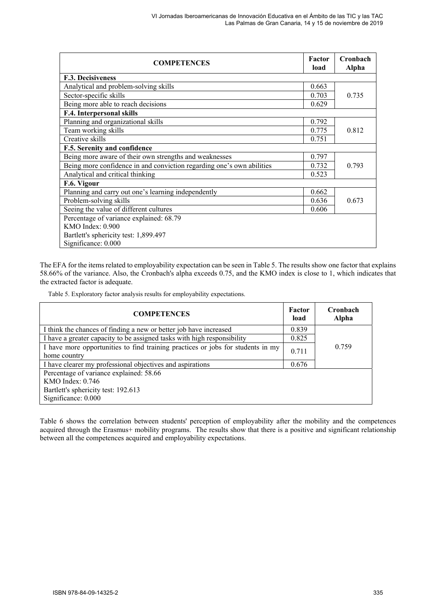| <b>COMPETENCES</b>                                                    | Factor<br>load | Cronbach<br><b>Alpha</b> |
|-----------------------------------------------------------------------|----------------|--------------------------|
| F.3. Decisiveness                                                     |                |                          |
| Analytical and problem-solving skills                                 | 0.663          |                          |
| Sector-specific skills                                                | 0.703          | 0.735                    |
| Being more able to reach decisions                                    | 0.629          |                          |
| F.4. Interpersonal skills                                             |                |                          |
| Planning and organizational skills                                    | 0.792          |                          |
| Team working skills                                                   | 0.775          | 0.812                    |
| Creative skills                                                       | 0.751          |                          |
| F.5. Serenity and confidence                                          |                |                          |
| Being more aware of their own strengths and weaknesses                | 0.797          |                          |
| Being more confidence in and conviction regarding one's own abilities | 0.732          | 0.793                    |
| Analytical and critical thinking                                      | 0.523          |                          |
| F.6. Vigour                                                           |                |                          |
| Planning and carry out one's learning independently                   | 0.662          |                          |
| Problem-solving skills                                                | 0.636          | 0.673                    |
| Seeing the value of different cultures                                | 0.606          |                          |
| Percentage of variance explained: 68.79                               |                |                          |
| <b>KMO</b> Index: 0.900                                               |                |                          |
| Bartlett's sphericity test: 1,899.497                                 |                |                          |
| Significance: 0.000                                                   |                |                          |

The EFA for the items related to employability expectation can be seen in Table 5. The results show one factor that explains 58.66% of the variance. Also, the Cronbach's alpha exceeds 0.75, and the KMO index is close to 1, which indicates that the extracted factor is adequate.

Table 5. Exploratory factor analysis results for employability expectations.

| <b>COMPETENCES</b>                                                                              | Factor<br>load | Cronbach<br><b>Alpha</b> |
|-------------------------------------------------------------------------------------------------|----------------|--------------------------|
| I think the chances of finding a new or better job have increased                               | 0.839          |                          |
| I have a greater capacity to be assigned tasks with high responsibility                         | 0.825          |                          |
| I have more opportunities to find training practices or jobs for students in my<br>home country | 0.711          | 0.759                    |
| I have clearer my professional objectives and aspirations                                       | 0.676          |                          |
| Percentage of variance explained: 58.66                                                         |                |                          |
| $KMO$ Index: $0.746$                                                                            |                |                          |
| Bartlett's sphericity test: 192.613                                                             |                |                          |
| Significance: 0.000                                                                             |                |                          |

Table 6 shows the correlation between students' perception of employability after the mobility and the competences acquired through the Erasmus+ mobility programs. The results show that there is a positive and significant relationship between all the competences acquired and employability expectations.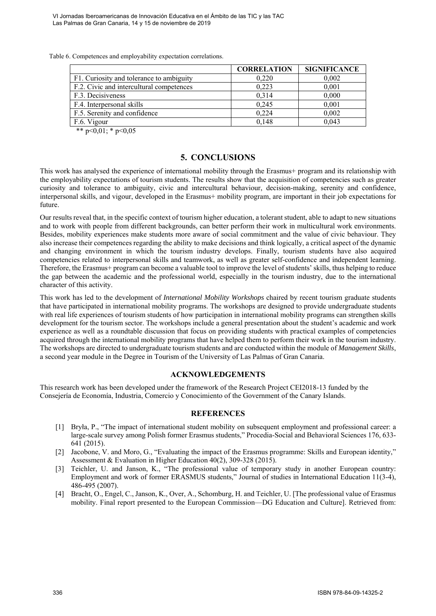VI Jornadas Iberoamericanas de Innovación Educativa en el Ámbito de las TIC y las TAC Las Palmas de Gran Canaria, 14 y 15 de noviembre de 2019

Table 6. Competences and employability expectation correlations.

|                                          | <b>CORRELATION</b> | <b>SIGNIFICANCE</b> |
|------------------------------------------|--------------------|---------------------|
| F1. Curiosity and tolerance to ambiguity | 0.220              | 0,002               |
| F.2. Civic and intercultural competences | 0,223              | 0,001               |
| F.3. Decisiveness                        | 0,314              | 0,000               |
| F.4. Interpersonal skills                | 0,245              | 0,001               |
| F.5. Serenity and confidence             | 0.224              | 0,002               |
| F.6. Vigour                              | 0.148              | 0,043               |
| .                                        |                    |                     |

\*\*  $p<0,01$ ; \*  $p<0,05$ 

### **5. CONCLUSIONS**

This work has analysed the experience of international mobility through the Erasmus+ program and its relationship with the employability expectations of tourism students. The results show that the acquisition of competencies such as greater curiosity and tolerance to ambiguity, civic and intercultural behaviour, decision-making, serenity and confidence, interpersonal skills, and vigour, developed in the Erasmus+ mobility program, are important in their job expectations for future.

Our results reveal that, in the specific context of tourism higher education, a tolerant student, able to adapt to new situations and to work with people from different backgrounds, can better perform their work in multicultural work environments. Besides, mobility experiences make students more aware of social commitment and the value of civic behaviour. They also increase their competences regarding the ability to make decisions and think logically, a critical aspect of the dynamic and changing environment in which the tourism industry develops. Finally, tourism students have also acquired competencies related to interpersonal skills and teamwork, as well as greater self-confidence and independent learning. Therefore, the Erasmus+ program can become a valuable tool to improve the level of students' skills, thus helping to reduce the gap between the academic and the professional world, especially in the tourism industry, due to the international character of this activity.

This work has led to the development of *International Mobility Workshops* chaired by recent tourism graduate students that have participated in international mobility programs. The workshops are designed to provide undergraduate students with real life experiences of tourism students of how participation in international mobility programs can strengthen skills development for the tourism sector. The workshops include a general presentation about the student's academic and work experience as well as a roundtable discussion that focus on providing students with practical examples of competencies acquired through the international mobility programs that have helped them to perform their work in the tourism industry. The workshops are directed to undergraduate tourism students and are conducted within the module of *Management Skills*, a second year module in the Degree in Tourism of the University of Las Palmas of Gran Canaria.

#### **ACKNOWLEDGEMENTS**

This research work has been developed under the framework of the Research Project CEI2018-13 funded by the Consejería de Economía, Industria, Comercio y Conocimiento of the Government of the Canary Islands.

#### **REFERENCES**

- [1] Bryła, P., "The impact of international student mobility on subsequent employment and professional career: a large-scale survey among Polish former Erasmus students," Procedia-Social and Behavioral Sciences 176, 633- 641 (2015).
- [2] Jacobone, V. and Moro, G., "Evaluating the impact of the Erasmus programme: Skills and European identity," Assessment & Evaluation in Higher Education 40(2), 309-328 (2015).
- [3] Teichler, U. and Janson, K., "The professional value of temporary study in another European country: Employment and work of former ERASMUS students," Journal of studies in International Education 11(3-4), 486-495 (2007).
- [4] Bracht, O., Engel, C., Janson, K., Over, A., Schomburg, H. and Teichler, U. [The professional value of Erasmus mobility. Final report presented to the European Commission—DG Education and Culture]. Retrieved from: